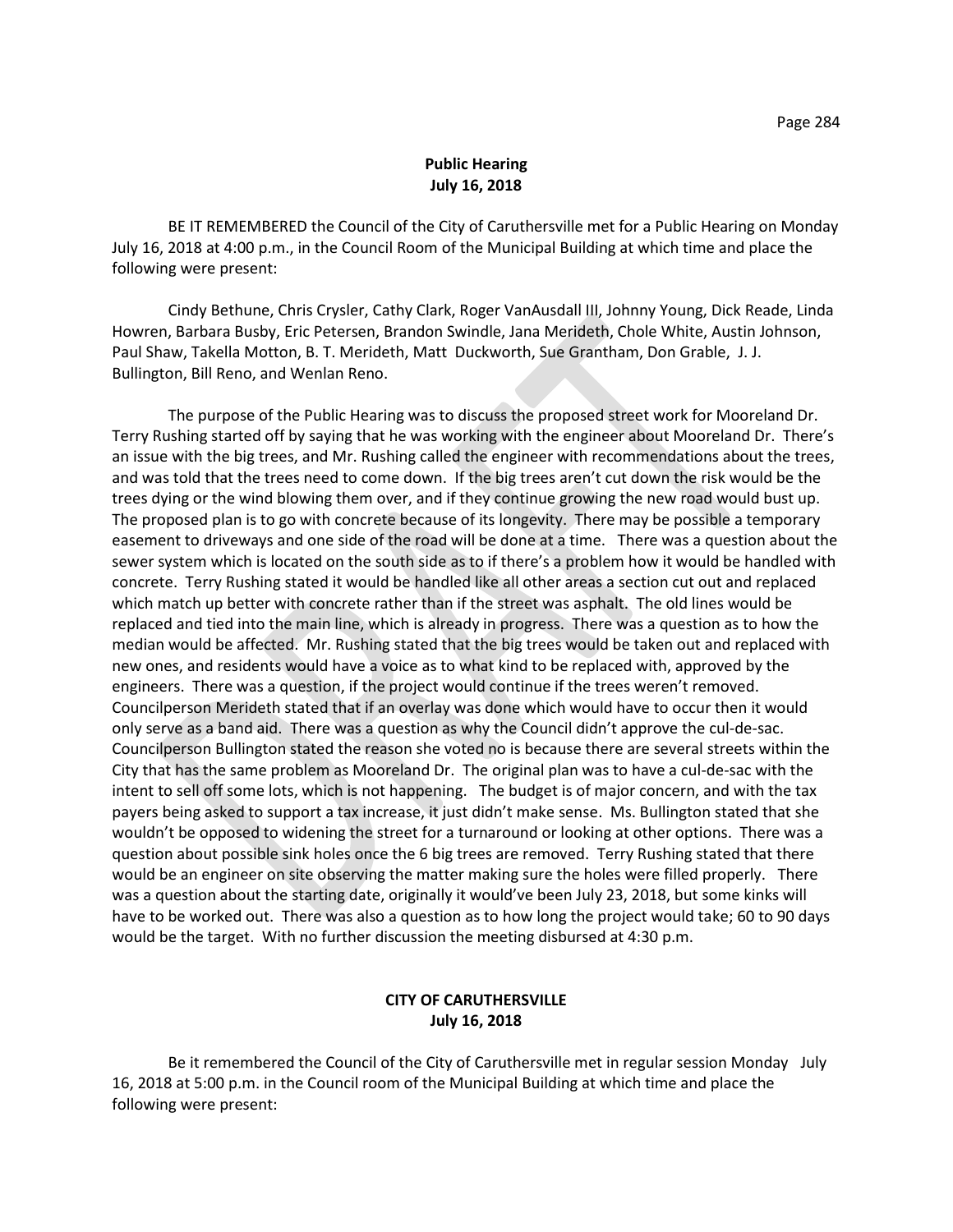## **Public Hearing July 16, 2018**

BE IT REMEMBERED the Council of the City of Caruthersville met for a Public Hearing on Monday July 16, 2018 at 4:00 p.m., in the Council Room of the Municipal Building at which time and place the following were present:

Cindy Bethune, Chris Crysler, Cathy Clark, Roger VanAusdall III, Johnny Young, Dick Reade, Linda Howren, Barbara Busby, Eric Petersen, Brandon Swindle, Jana Merideth, Chole White, Austin Johnson, Paul Shaw, Takella Motton, B. T. Merideth, Matt Duckworth, Sue Grantham, Don Grable, J. J. Bullington, Bill Reno, and Wenlan Reno.

The purpose of the Public Hearing was to discuss the proposed street work for Mooreland Dr. Terry Rushing started off by saying that he was working with the engineer about Mooreland Dr. There's an issue with the big trees, and Mr. Rushing called the engineer with recommendations about the trees, and was told that the trees need to come down. If the big trees aren't cut down the risk would be the trees dying or the wind blowing them over, and if they continue growing the new road would bust up. The proposed plan is to go with concrete because of its longevity. There may be possible a temporary easement to driveways and one side of the road will be done at a time. There was a question about the sewer system which is located on the south side as to if there's a problem how it would be handled with concrete. Terry Rushing stated it would be handled like all other areas a section cut out and replaced which match up better with concrete rather than if the street was asphalt. The old lines would be replaced and tied into the main line, which is already in progress. There was a question as to how the median would be affected. Mr. Rushing stated that the big trees would be taken out and replaced with new ones, and residents would have a voice as to what kind to be replaced with, approved by the engineers. There was a question, if the project would continue if the trees weren't removed. Councilperson Merideth stated that if an overlay was done which would have to occur then it would only serve as a band aid. There was a question as why the Council didn't approve the cul-de-sac. Councilperson Bullington stated the reason she voted no is because there are several streets within the City that has the same problem as Mooreland Dr. The original plan was to have a cul-de-sac with the intent to sell off some lots, which is not happening. The budget is of major concern, and with the tax payers being asked to support a tax increase, it just didn't make sense. Ms. Bullington stated that she wouldn't be opposed to widening the street for a turnaround or looking at other options. There was a question about possible sink holes once the 6 big trees are removed. Terry Rushing stated that there would be an engineer on site observing the matter making sure the holes were filled properly. There was a question about the starting date, originally it would've been July 23, 2018, but some kinks will have to be worked out. There was also a question as to how long the project would take; 60 to 90 days would be the target. With no further discussion the meeting disbursed at 4:30 p.m.

## **CITY OF CARUTHERSVILLE July 16, 2018**

Be it remembered the Council of the City of Caruthersville met in regular session Monday July 16, 2018 at 5:00 p.m. in the Council room of the Municipal Building at which time and place the following were present: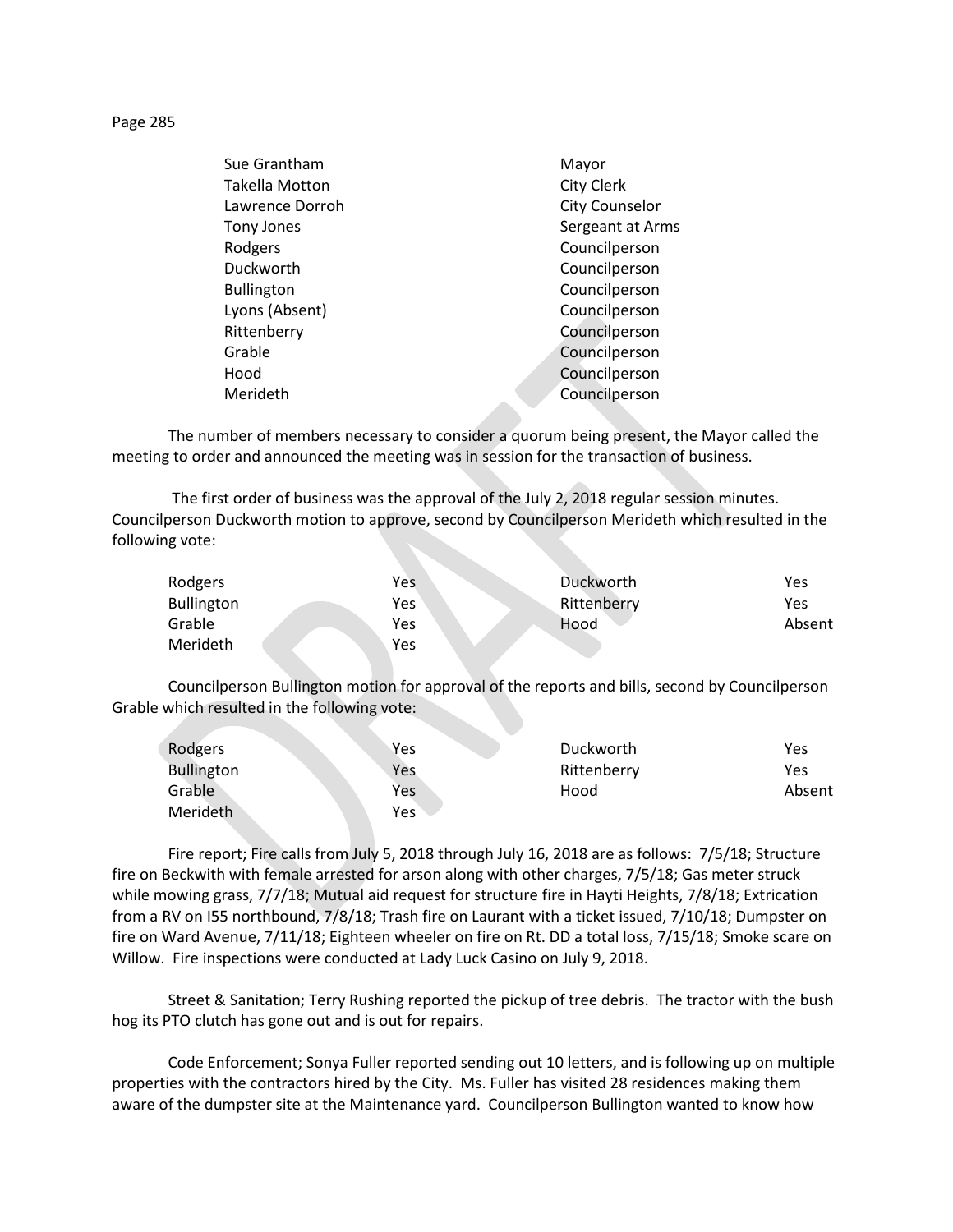Page 285

| Sue Grantham          | Mayor                 |
|-----------------------|-----------------------|
| <b>Takella Motton</b> | <b>City Clerk</b>     |
| Lawrence Dorroh       | <b>City Counselor</b> |
| Tony Jones            | Sergeant at Arms      |
| Rodgers               | Councilperson         |
| Duckworth             | Councilperson         |
| <b>Bullington</b>     | Councilperson         |
| Lyons (Absent)        | Councilperson         |
| Rittenberry           | Councilperson         |
| Grable                | Councilperson         |
| Hood                  | Councilperson         |
| Merideth              | Councilperson         |
|                       |                       |

The number of members necessary to consider a quorum being present, the Mayor called the meeting to order and announced the meeting was in session for the transaction of business.

The first order of business was the approval of the July 2, 2018 regular session minutes. Councilperson Duckworth motion to approve, second by Councilperson Merideth which resulted in the following vote:

| Rodgers           | Yes | Duckworth   | Yes    |
|-------------------|-----|-------------|--------|
| <b>Bullington</b> | Yes | Rittenberry | Yes    |
| Grable            | Yes | Hood        | Absent |
| Merideth          | Yes |             |        |

Councilperson Bullington motion for approval of the reports and bills, second by Councilperson Grable which resulted in the following vote:

| Rodgers           | Yes | Duckworth   | Yes    |
|-------------------|-----|-------------|--------|
| <b>Bullington</b> | Yes | Rittenberry | Yes    |
| Grable            | Yes | Hood        | Absent |
| Merideth          | Yes |             |        |

Fire report; Fire calls from July 5, 2018 through July 16, 2018 are as follows: 7/5/18; Structure fire on Beckwith with female arrested for arson along with other charges, 7/5/18; Gas meter struck while mowing grass, 7/7/18; Mutual aid request for structure fire in Hayti Heights, 7/8/18; Extrication from a RV on I55 northbound, 7/8/18; Trash fire on Laurant with a ticket issued, 7/10/18; Dumpster on fire on Ward Avenue, 7/11/18; Eighteen wheeler on fire on Rt. DD a total loss, 7/15/18; Smoke scare on Willow. Fire inspections were conducted at Lady Luck Casino on July 9, 2018.

Street & Sanitation; Terry Rushing reported the pickup of tree debris. The tractor with the bush hog its PTO clutch has gone out and is out for repairs.

Code Enforcement; Sonya Fuller reported sending out 10 letters, and is following up on multiple properties with the contractors hired by the City. Ms. Fuller has visited 28 residences making them aware of the dumpster site at the Maintenance yard. Councilperson Bullington wanted to know how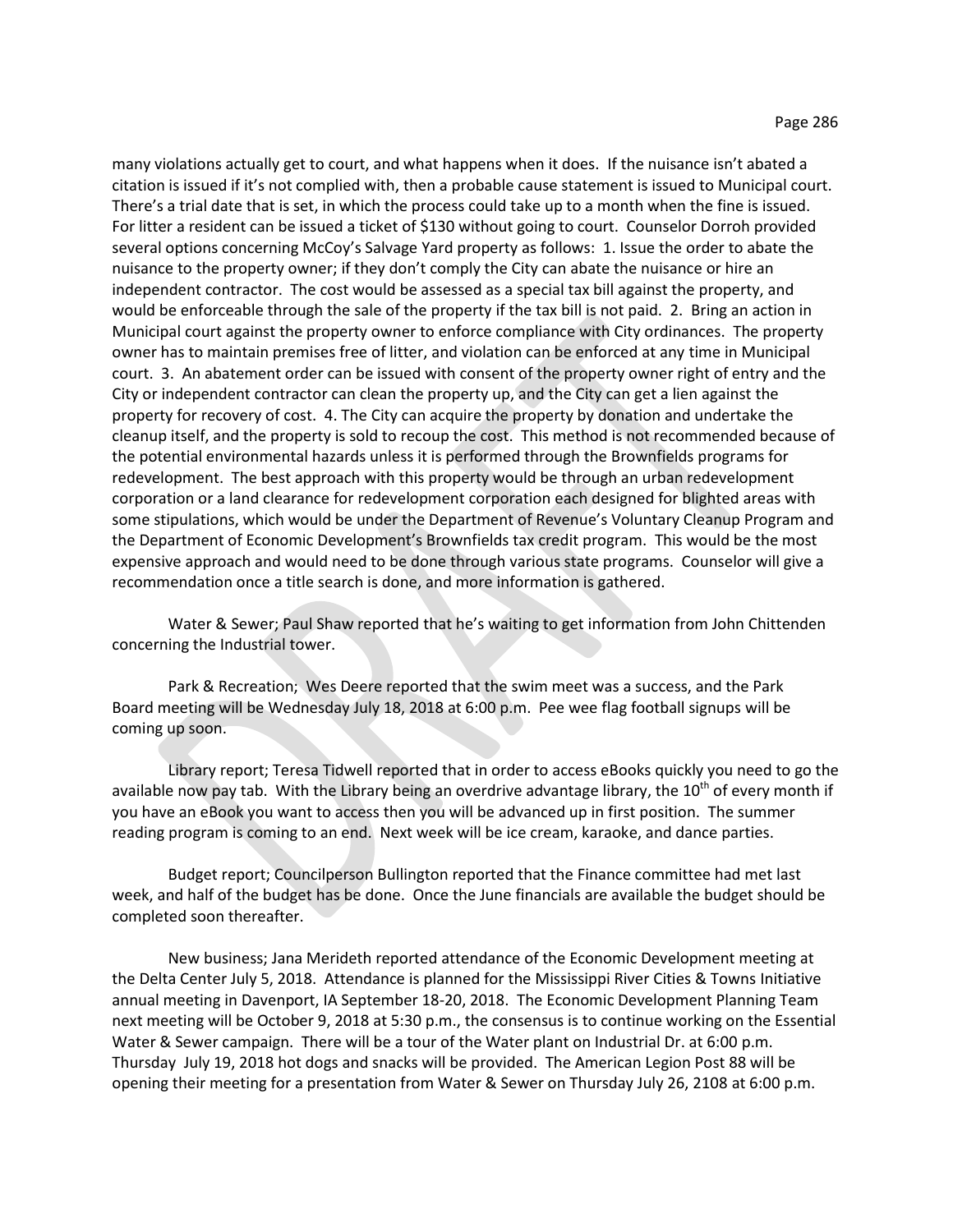many violations actually get to court, and what happens when it does. If the nuisance isn't abated a citation is issued if it's not complied with, then a probable cause statement is issued to Municipal court. There's a trial date that is set, in which the process could take up to a month when the fine is issued. For litter a resident can be issued a ticket of \$130 without going to court. Counselor Dorroh provided several options concerning McCoy's Salvage Yard property as follows: 1. Issue the order to abate the nuisance to the property owner; if they don't comply the City can abate the nuisance or hire an independent contractor. The cost would be assessed as a special tax bill against the property, and would be enforceable through the sale of the property if the tax bill is not paid. 2. Bring an action in Municipal court against the property owner to enforce compliance with City ordinances. The property owner has to maintain premises free of litter, and violation can be enforced at any time in Municipal court. 3. An abatement order can be issued with consent of the property owner right of entry and the City or independent contractor can clean the property up, and the City can get a lien against the property for recovery of cost. 4. The City can acquire the property by donation and undertake the cleanup itself, and the property is sold to recoup the cost. This method is not recommended because of the potential environmental hazards unless it is performed through the Brownfields programs for redevelopment. The best approach with this property would be through an urban redevelopment corporation or a land clearance for redevelopment corporation each designed for blighted areas with some stipulations, which would be under the Department of Revenue's Voluntary Cleanup Program and the Department of Economic Development's Brownfields tax credit program. This would be the most expensive approach and would need to be done through various state programs. Counselor will give a recommendation once a title search is done, and more information is gathered.

Water & Sewer; Paul Shaw reported that he's waiting to get information from John Chittenden concerning the Industrial tower.

Park & Recreation; Wes Deere reported that the swim meet was a success, and the Park Board meeting will be Wednesday July 18, 2018 at 6:00 p.m. Pee wee flag football signups will be coming up soon.

Library report; Teresa Tidwell reported that in order to access eBooks quickly you need to go the available now pay tab. With the Library being an overdrive advantage library, the  $10^{th}$  of every month if you have an eBook you want to access then you will be advanced up in first position. The summer reading program is coming to an end. Next week will be ice cream, karaoke, and dance parties.

Budget report; Councilperson Bullington reported that the Finance committee had met last week, and half of the budget has be done. Once the June financials are available the budget should be completed soon thereafter.

New business; Jana Merideth reported attendance of the Economic Development meeting at the Delta Center July 5, 2018. Attendance is planned for the Mississippi River Cities & Towns Initiative annual meeting in Davenport, IA September 18-20, 2018. The Economic Development Planning Team next meeting will be October 9, 2018 at 5:30 p.m., the consensus is to continue working on the Essential Water & Sewer campaign. There will be a tour of the Water plant on Industrial Dr. at 6:00 p.m. Thursday July 19, 2018 hot dogs and snacks will be provided. The American Legion Post 88 will be opening their meeting for a presentation from Water & Sewer on Thursday July 26, 2108 at 6:00 p.m.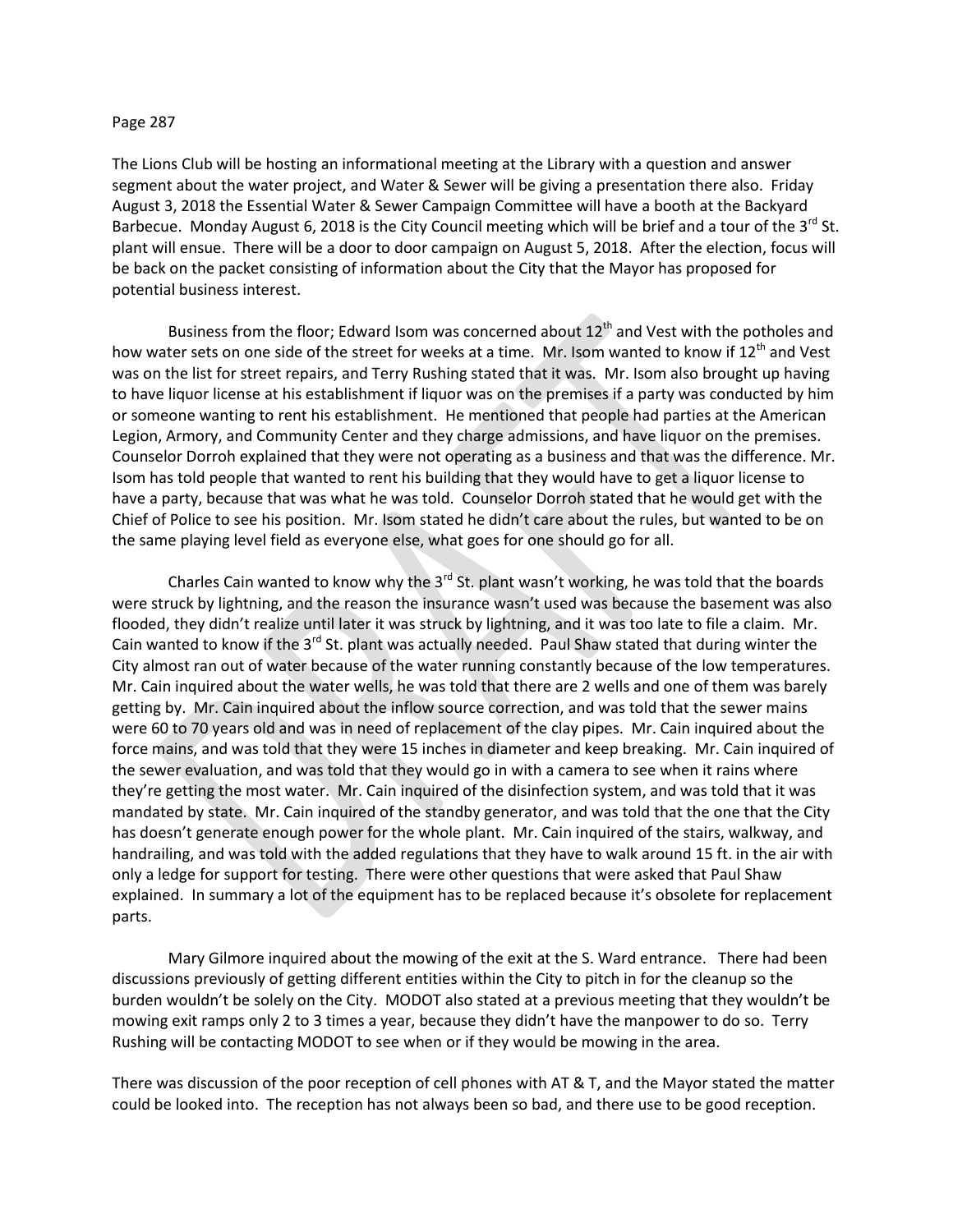## Page 287

The Lions Club will be hosting an informational meeting at the Library with a question and answer segment about the water project, and Water & Sewer will be giving a presentation there also. Friday August 3, 2018 the Essential Water & Sewer Campaign Committee will have a booth at the Backyard Barbecue. Monday August 6, 2018 is the City Council meeting which will be brief and a tour of the  $3^{rd}$  St. plant will ensue. There will be a door to door campaign on August 5, 2018. After the election, focus will be back on the packet consisting of information about the City that the Mayor has proposed for potential business interest.

Business from the floor; Edward Isom was concerned about 12<sup>th</sup> and Vest with the potholes and how water sets on one side of the street for weeks at a time. Mr. Isom wanted to know if 12<sup>th</sup> and Vest was on the list for street repairs, and Terry Rushing stated that it was. Mr. Isom also brought up having to have liquor license at his establishment if liquor was on the premises if a party was conducted by him or someone wanting to rent his establishment. He mentioned that people had parties at the American Legion, Armory, and Community Center and they charge admissions, and have liquor on the premises. Counselor Dorroh explained that they were not operating as a business and that was the difference. Mr. Isom has told people that wanted to rent his building that they would have to get a liquor license to have a party, because that was what he was told. Counselor Dorroh stated that he would get with the Chief of Police to see his position. Mr. Isom stated he didn't care about the rules, but wanted to be on the same playing level field as everyone else, what goes for one should go for all.

Charles Cain wanted to know why the  $3^{rd}$  St. plant wasn't working, he was told that the boards were struck by lightning, and the reason the insurance wasn't used was because the basement was also flooded, they didn't realize until later it was struck by lightning, and it was too late to file a claim. Mr. Cain wanted to know if the 3<sup>rd</sup> St. plant was actually needed. Paul Shaw stated that during winter the City almost ran out of water because of the water running constantly because of the low temperatures. Mr. Cain inquired about the water wells, he was told that there are 2 wells and one of them was barely getting by. Mr. Cain inquired about the inflow source correction, and was told that the sewer mains were 60 to 70 years old and was in need of replacement of the clay pipes. Mr. Cain inquired about the force mains, and was told that they were 15 inches in diameter and keep breaking. Mr. Cain inquired of the sewer evaluation, and was told that they would go in with a camera to see when it rains where they're getting the most water. Mr. Cain inquired of the disinfection system, and was told that it was mandated by state. Mr. Cain inquired of the standby generator, and was told that the one that the City has doesn't generate enough power for the whole plant. Mr. Cain inquired of the stairs, walkway, and handrailing, and was told with the added regulations that they have to walk around 15 ft. in the air with only a ledge for support for testing. There were other questions that were asked that Paul Shaw explained. In summary a lot of the equipment has to be replaced because it's obsolete for replacement parts.

Mary Gilmore inquired about the mowing of the exit at the S. Ward entrance. There had been discussions previously of getting different entities within the City to pitch in for the cleanup so the burden wouldn't be solely on the City. MODOT also stated at a previous meeting that they wouldn't be mowing exit ramps only 2 to 3 times a year, because they didn't have the manpower to do so. Terry Rushing will be contacting MODOT to see when or if they would be mowing in the area.

There was discussion of the poor reception of cell phones with AT & T, and the Mayor stated the matter could be looked into. The reception has not always been so bad, and there use to be good reception.